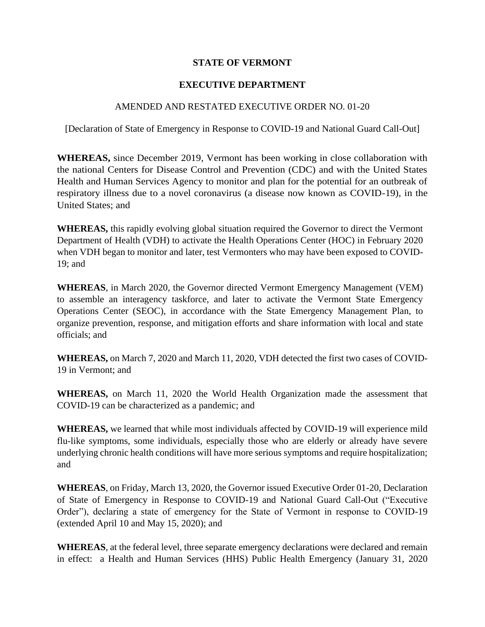#### **STATE OF VERMONT**

#### **EXECUTIVE DEPARTMENT**

#### AMENDED AND RESTATED EXECUTIVE ORDER NO. 01-20

[Declaration of State of Emergency in Response to COVID-19 and National Guard Call-Out]

**WHEREAS,** since December 2019, Vermont has been working in close collaboration with the national Centers for Disease Control and Prevention (CDC) and with the United States Health and Human Services Agency to monitor and plan for the potential for an outbreak of respiratory illness due to a novel coronavirus (a disease now known as COVID-19), in the United States; and

**WHEREAS,** this rapidly evolving global situation required the Governor to direct the Vermont Department of Health (VDH) to activate the Health Operations Center (HOC) in February 2020 when VDH began to monitor and later, test Vermonters who may have been exposed to COVID-19; and

**WHEREAS**, in March 2020, the Governor directed Vermont Emergency Management (VEM) to assemble an interagency taskforce, and later to activate the Vermont State Emergency Operations Center (SEOC), in accordance with the State Emergency Management Plan, to organize prevention, response, and mitigation efforts and share information with local and state officials; and

**WHEREAS,** on March 7, 2020 and March 11, 2020, VDH detected the first two cases of COVID-19 in Vermont; and

**WHEREAS,** on March 11, 2020 the World Health Organization made the assessment that COVID-19 can be characterized as a pandemic; and

**WHEREAS,** we learned that while most individuals affected by COVID-19 will experience mild flu-like symptoms, some individuals, especially those who are elderly or already have severe underlying chronic health conditions will have more serious symptoms and require hospitalization; and

**WHEREAS**, on Friday, March 13, 2020, the Governor issued Executive Order 01-20, Declaration of State of Emergency in Response to COVID-19 and National Guard Call-Out ("Executive Order"), declaring a state of emergency for the State of Vermont in response to COVID-19 (extended April 10 and May 15, 2020); and

**WHEREAS**, at the federal level, three separate emergency declarations were declared and remain in effect: a Health and Human Services (HHS) Public Health Emergency (January 31, 2020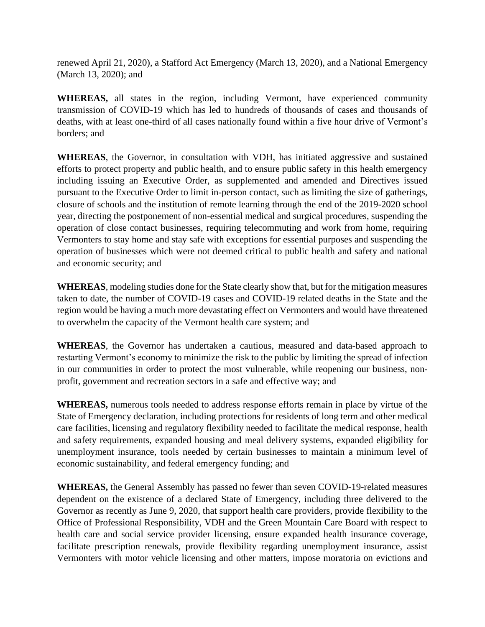renewed April 21, 2020), a Stafford Act Emergency (March 13, 2020), and a National Emergency (March 13, 2020); and

**WHEREAS,** all states in the region, including Vermont, have experienced community transmission of COVID-19 which has led to hundreds of thousands of cases and thousands of deaths, with at least one-third of all cases nationally found within a five hour drive of Vermont's borders; and

**WHEREAS**, the Governor, in consultation with VDH, has initiated aggressive and sustained efforts to protect property and public health, and to ensure public safety in this health emergency including issuing an Executive Order, as supplemented and amended and Directives issued pursuant to the Executive Order to limit in-person contact, such as limiting the size of gatherings, closure of schools and the institution of remote learning through the end of the 2019-2020 school year, directing the postponement of non-essential medical and surgical procedures, suspending the operation of close contact businesses, requiring telecommuting and work from home, requiring Vermonters to stay home and stay safe with exceptions for essential purposes and suspending the operation of businesses which were not deemed critical to public health and safety and national and economic security; and

**WHEREAS**, modeling studies done for the State clearly show that, but for the mitigation measures taken to date, the number of COVID-19 cases and COVID-19 related deaths in the State and the region would be having a much more devastating effect on Vermonters and would have threatened to overwhelm the capacity of the Vermont health care system; and

**WHEREAS**, the Governor has undertaken a cautious, measured and data-based approach to restarting Vermont's economy to minimize the risk to the public by limiting the spread of infection in our communities in order to protect the most vulnerable, while reopening our business, nonprofit, government and recreation sectors in a safe and effective way; and

**WHEREAS,** numerous tools needed to address response efforts remain in place by virtue of the State of Emergency declaration, including protections for residents of long term and other medical care facilities, licensing and regulatory flexibility needed to facilitate the medical response, health and safety requirements, expanded housing and meal delivery systems, expanded eligibility for unemployment insurance, tools needed by certain businesses to maintain a minimum level of economic sustainability, and federal emergency funding; and

**WHEREAS,** the General Assembly has passed no fewer than seven COVID-19-related measures dependent on the existence of a declared State of Emergency, including three delivered to the Governor as recently as June 9, 2020, that support health care providers, provide flexibility to the Office of Professional Responsibility, VDH and the Green Mountain Care Board with respect to health care and social service provider licensing, ensure expanded health insurance coverage, facilitate prescription renewals, provide flexibility regarding unemployment insurance, assist Vermonters with motor vehicle licensing and other matters, impose moratoria on evictions and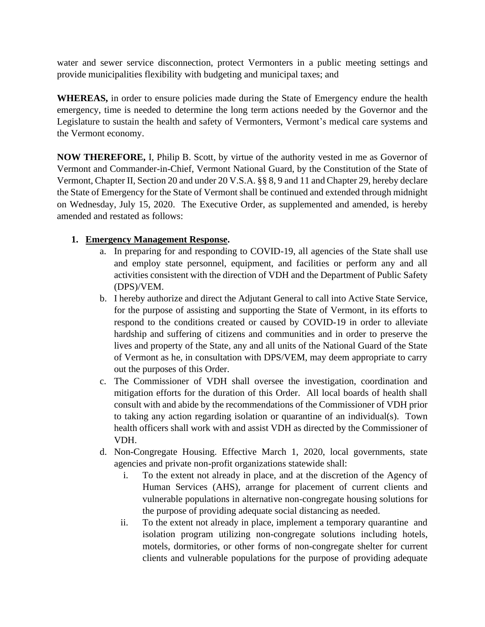water and sewer service disconnection, protect Vermonters in a public meeting settings and provide municipalities flexibility with budgeting and municipal taxes; and

**WHEREAS,** in order to ensure policies made during the State of Emergency endure the health emergency, time is needed to determine the long term actions needed by the Governor and the Legislature to sustain the health and safety of Vermonters, Vermont's medical care systems and the Vermont economy.

**NOW THEREFORE,** I, Philip B. Scott, by virtue of the authority vested in me as Governor of Vermont and Commander-in-Chief, Vermont National Guard, by the Constitution of the State of Vermont, Chapter II, Section 20 and under 20 V.S.A. §§ 8, 9 and 11 and Chapter 29, hereby declare the State of Emergency for the State of Vermont shall be continued and extended through midnight on Wednesday, July 15, 2020. The Executive Order, as supplemented and amended, is hereby amended and restated as follows:

# **1. Emergency Management Response.**

- a. In preparing for and responding to COVID-19, all agencies of the State shall use and employ state personnel, equipment, and facilities or perform any and all activities consistent with the direction of VDH and the Department of Public Safety (DPS)/VEM.
- b. I hereby authorize and direct the Adjutant General to call into Active State Service, for the purpose of assisting and supporting the State of Vermont, in its efforts to respond to the conditions created or caused by COVID-19 in order to alleviate hardship and suffering of citizens and communities and in order to preserve the lives and property of the State, any and all units of the National Guard of the State of Vermont as he, in consultation with DPS/VEM, may deem appropriate to carry out the purposes of this Order.
- c. The Commissioner of VDH shall oversee the investigation, coordination and mitigation efforts for the duration of this Order. All local boards of health shall consult with and abide by the recommendations of the Commissioner of VDH prior to taking any action regarding isolation or quarantine of an individual(s). Town health officers shall work with and assist VDH as directed by the Commissioner of VDH.
- d. Non-Congregate Housing. Effective March 1, 2020, local governments, state agencies and private non-profit organizations statewide shall:
	- i. To the extent not already in place, and at the discretion of the Agency of Human Services (AHS), arrange for placement of current clients and vulnerable populations in alternative non-congregate housing solutions for the purpose of providing adequate social distancing as needed.
	- ii. To the extent not already in place, implement a temporary quarantine and isolation program utilizing non-congregate solutions including hotels, motels, dormitories, or other forms of non-congregate shelter for current clients and vulnerable populations for the purpose of providing adequate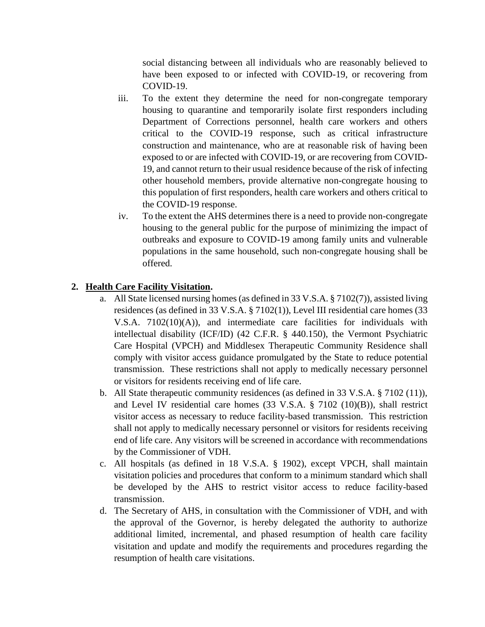social distancing between all individuals who are reasonably believed to have been exposed to or infected with COVID-19, or recovering from COVID-19.

- iii. To the extent they determine the need for non-congregate temporary housing to quarantine and temporarily isolate first responders including Department of Corrections personnel, health care workers and others critical to the COVID-19 response, such as critical infrastructure construction and maintenance, who are at reasonable risk of having been exposed to or are infected with COVID-19, or are recovering from COVID-19, and cannot return to their usual residence because of the risk of infecting other household members, provide alternative non-congregate housing to this population of first responders, health care workers and others critical to the COVID-19 response.
- iv. To the extent the AHS determines there is a need to provide non-congregate housing to the general public for the purpose of minimizing the impact of outbreaks and exposure to COVID-19 among family units and vulnerable populations in the same household, such non-congregate housing shall be offered.

# **2. Health Care Facility Visitation.**

- a. All State licensed nursing homes (as defined in 33 V.S.A. § 7102(7)), assisted living residences (as defined in 33 V.S.A. § 7102(1)), Level III residential care homes (33 V.S.A. 7102(10)(A)), and intermediate care facilities for individuals with intellectual disability (ICF/ID) (42 C.F.R. § 440.150), the Vermont Psychiatric Care Hospital (VPCH) and Middlesex Therapeutic Community Residence shall comply with visitor access guidance promulgated by the State to reduce potential transmission. These restrictions shall not apply to medically necessary personnel or visitors for residents receiving end of life care.
- b. All State therapeutic community residences (as defined in 33 V.S.A. § 7102 (11)), and Level IV residential care homes (33 V.S.A. § 7102 (10)(B)), shall restrict visitor access as necessary to reduce facility-based transmission. This restriction shall not apply to medically necessary personnel or visitors for residents receiving end of life care. Any visitors will be screened in accordance with recommendations by the Commissioner of VDH.
- c. All hospitals (as defined in 18 V.S.A. § 1902), except VPCH, shall maintain visitation policies and procedures that conform to a minimum standard which shall be developed by the AHS to restrict visitor access to reduce facility-based transmission.
- d. The Secretary of AHS, in consultation with the Commissioner of VDH, and with the approval of the Governor, is hereby delegated the authority to authorize additional limited, incremental, and phased resumption of health care facility visitation and update and modify the requirements and procedures regarding the resumption of health care visitations.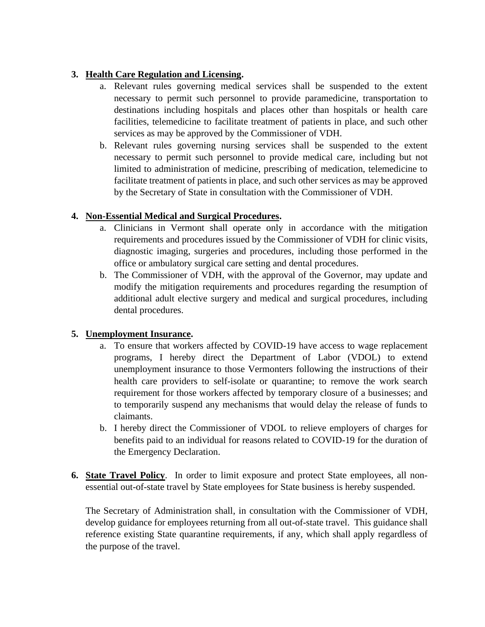# **3. Health Care Regulation and Licensing.**

- a. Relevant rules governing medical services shall be suspended to the extent necessary to permit such personnel to provide paramedicine, transportation to destinations including hospitals and places other than hospitals or health care facilities, telemedicine to facilitate treatment of patients in place, and such other services as may be approved by the Commissioner of VDH.
- b. Relevant rules governing nursing services shall be suspended to the extent necessary to permit such personnel to provide medical care, including but not limited to administration of medicine, prescribing of medication, telemedicine to facilitate treatment of patients in place, and such other services as may be approved by the Secretary of State in consultation with the Commissioner of VDH.

# **4. Non-Essential Medical and Surgical Procedures.**

- a. Clinicians in Vermont shall operate only in accordance with the mitigation requirements and procedures issued by the Commissioner of VDH for clinic visits, diagnostic imaging, surgeries and procedures, including those performed in the office or ambulatory surgical care setting and dental procedures.
- b. The Commissioner of VDH, with the approval of the Governor, may update and modify the mitigation requirements and procedures regarding the resumption of additional adult elective surgery and medical and surgical procedures, including dental procedures.

#### **5. Unemployment Insurance.**

- a. To ensure that workers affected by COVID-19 have access to wage replacement programs, I hereby direct the Department of Labor (VDOL) to extend unemployment insurance to those Vermonters following the instructions of their health care providers to self-isolate or quarantine; to remove the work search requirement for those workers affected by temporary closure of a businesses; and to temporarily suspend any mechanisms that would delay the release of funds to claimants.
- b. I hereby direct the Commissioner of VDOL to relieve employers of charges for benefits paid to an individual for reasons related to COVID-19 for the duration of the Emergency Declaration.
- **6. State Travel Policy**. In order to limit exposure and protect State employees, all nonessential out-of-state travel by State employees for State business is hereby suspended.

The Secretary of Administration shall, in consultation with the Commissioner of VDH, develop guidance for employees returning from all out-of-state travel. This guidance shall reference existing State quarantine requirements, if any, which shall apply regardless of the purpose of the travel.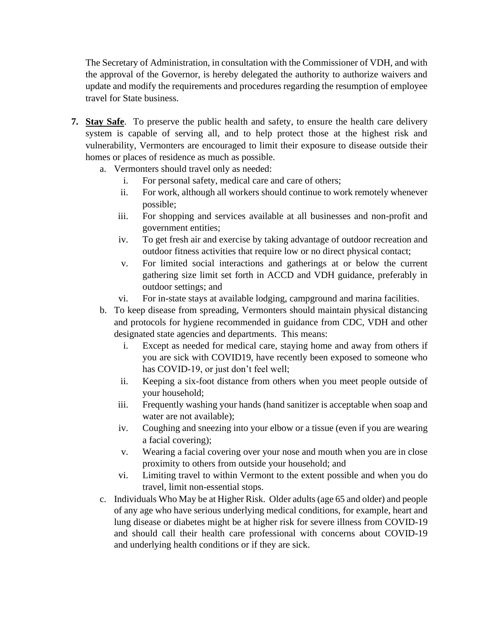The Secretary of Administration, in consultation with the Commissioner of VDH, and with the approval of the Governor, is hereby delegated the authority to authorize waivers and update and modify the requirements and procedures regarding the resumption of employee travel for State business.

- **7. Stay Safe**. To preserve the public health and safety, to ensure the health care delivery system is capable of serving all, and to help protect those at the highest risk and vulnerability, Vermonters are encouraged to limit their exposure to disease outside their homes or places of residence as much as possible.
	- a. Vermonters should travel only as needed:
		- i. For personal safety, medical care and care of others;
		- ii. For work, although all workers should continue to work remotely whenever possible;
		- iii. For shopping and services available at all businesses and non-profit and government entities;
		- iv. To get fresh air and exercise by taking advantage of outdoor recreation and outdoor fitness activities that require low or no direct physical contact;
		- v. For limited social interactions and gatherings at or below the current gathering size limit set forth in ACCD and VDH guidance, preferably in outdoor settings; and
		- vi. For in-state stays at available lodging, campground and marina facilities.
	- b. To keep disease from spreading, Vermonters should maintain physical distancing and protocols for hygiene recommended in guidance from CDC, VDH and other designated state agencies and departments. This means:
		- i. Except as needed for medical care, staying home and away from others if you are sick with COVID19, have recently been exposed to someone who has COVID-19, or just don't feel well;
		- ii. Keeping a six-foot distance from others when you meet people outside of your household;
		- iii. Frequently washing your hands (hand sanitizer is acceptable when soap and water are not available);
		- iv. Coughing and sneezing into your elbow or a tissue (even if you are wearing a facial covering);
		- v. Wearing a facial covering over your nose and mouth when you are in close proximity to others from outside your household; and
		- vi. Limiting travel to within Vermont to the extent possible and when you do travel, limit non-essential stops.
	- c. Individuals Who May be at Higher Risk. Older adults (age 65 and older) and people of any age who have serious underlying medical conditions, for example, heart and lung disease or diabetes might be at higher risk for severe illness from COVID-19 and should call their health care professional with concerns about COVID-19 and underlying health conditions or if they are sick.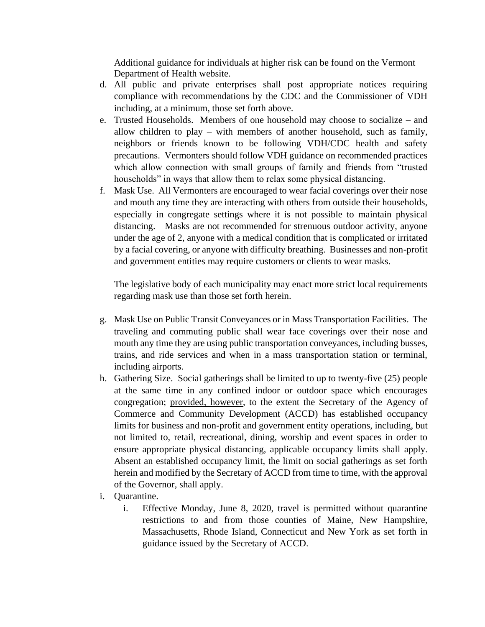Additional guidance for individuals at higher risk can be found on the Vermont Department of Health website.

- d. All public and private enterprises shall post appropriate notices requiring compliance with recommendations by the CDC and the Commissioner of VDH including, at a minimum, those set forth above.
- e. Trusted Households. Members of one household may choose to socialize and allow children to play – with members of another household, such as family, neighbors or friends known to be following VDH/CDC health and safety precautions. Vermonters should follow VDH guidance on recommended practices which allow connection with small groups of family and friends from "trusted households" in ways that allow them to relax some physical distancing.
- f. Mask Use. All Vermonters are encouraged to wear facial coverings over their nose and mouth any time they are interacting with others from outside their households, especially in congregate settings where it is not possible to maintain physical distancing. Masks are not recommended for strenuous outdoor activity, anyone under the age of 2, anyone with a medical condition that is complicated or irritated by a facial covering, or anyone with difficulty breathing. Businesses and non-profit and government entities may require customers or clients to wear masks.

The legislative body of each municipality may enact more strict local requirements regarding mask use than those set forth herein.

- g. Mask Use on Public Transit Conveyances or in Mass Transportation Facilities. The traveling and commuting public shall wear face coverings over their nose and mouth any time they are using public transportation conveyances, including busses, trains, and ride services and when in a mass transportation station or terminal, including airports.
- h. Gathering Size. Social gatherings shall be limited to up to twenty-five (25) people at the same time in any confined indoor or outdoor space which encourages congregation; provided, however, to the extent the Secretary of the Agency of Commerce and Community Development (ACCD) has established occupancy limits for business and non-profit and government entity operations, including, but not limited to, retail, recreational, dining, worship and event spaces in order to ensure appropriate physical distancing, applicable occupancy limits shall apply. Absent an established occupancy limit, the limit on social gatherings as set forth herein and modified by the Secretary of ACCD from time to time, with the approval of the Governor, shall apply.
- i. Quarantine.
	- i. Effective Monday, June 8, 2020, travel is permitted without quarantine restrictions to and from those counties of Maine, New Hampshire, Massachusetts, Rhode Island, Connecticut and New York as set forth in guidance issued by the Secretary of ACCD.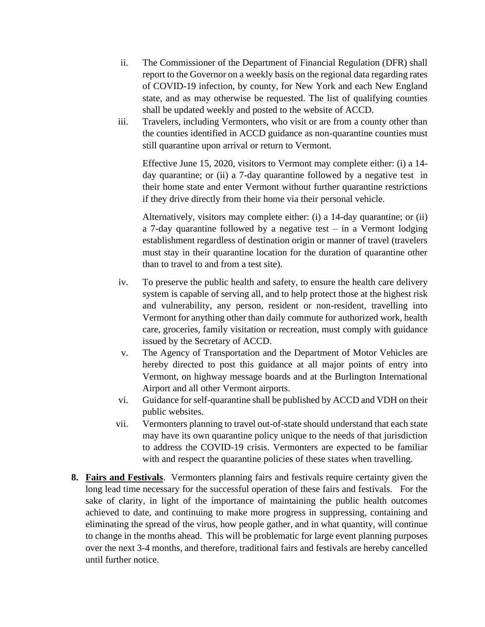- ii. The Commissioner of the Department of Financial Regulation (DFR) shall report to the Governor on a weekly basis on the regional data regarding rates of COVID-19 infection, by county, for New York and each New England state, and as may otherwise be requested. The list of qualifying counties shall be updated weekly and posted to the website of ACCD.
- iii. Travelers, including Vermonters, who visit or are from a county other than the counties identified in ACCD guidance as non-quarantine counties must still quarantine upon arrival or return to Vermont.

Effective June 15, 2020, visitors to Vermont may complete either: (i) a 14 day quarantine; or (ii) a 7-day quarantine followed by a negative test in their home state and enter Vermont without further quarantine restrictions if they drive directly from their home via their personal vehicle.

Alternatively, visitors may complete either: (i) a 14-day quarantine; or (ii) a 7-day quarantine followed by a negative test – in a Vermont lodging establishment regardless of destination origin or manner of travel (travelers must stay in their quarantine location for the duration of quarantine other than to travel to and from a test site).

- iv. To preserve the public health and safety, to ensure the health care delivery system is capable of serving all, and to help protect those at the highest risk and vulnerability, any person, resident or non-resident, travelling into Vermont for anything other than daily commute for authorized work, health care, groceries, family visitation or recreation, must comply with guidance issued by the Secretary of ACCD.
- v. The Agency of Transportation and the Department of Motor Vehicles are hereby directed to post this guidance at all major points of entry into Vermont, on highway message boards and at the Burlington International Airport and all other Vermont airports.
- vi. Guidance for self-quarantine shall be published by ACCD and VDH on their public websites.
- vii. Vermonters planning to travel out-of-state should understand that each state may have its own quarantine policy unique to the needs of that jurisdiction to address the COVID-19 crisis. Vermonters are expected to be familiar with and respect the quarantine policies of these states when travelling.
- **8. Fairs and Festivals**. Vermonters planning fairs and festivals require certainty given the long lead time necessary for the successful operation of these fairs and festivals. For the sake of clarity, in light of the importance of maintaining the public health outcomes achieved to date, and continuing to make more progress in suppressing, containing and eliminating the spread of the virus, how people gather, and in what quantity, will continue to change in the months ahead. This will be problematic for large event planning purposes over the next 3-4 months, and therefore, traditional fairs and festivals are hereby cancelled until further notice.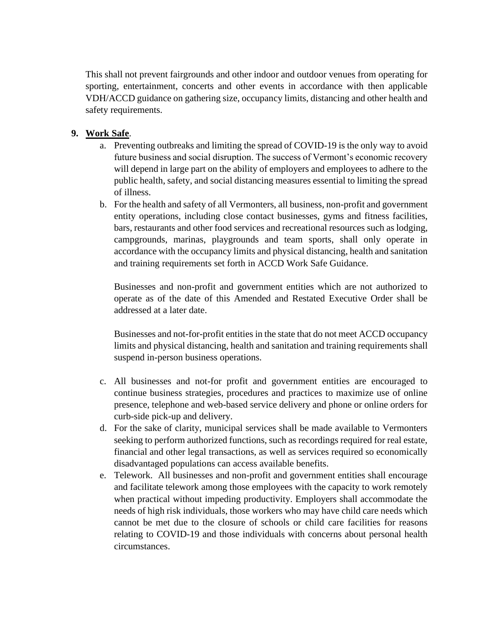This shall not prevent fairgrounds and other indoor and outdoor venues from operating for sporting, entertainment, concerts and other events in accordance with then applicable VDH/ACCD guidance on gathering size, occupancy limits, distancing and other health and safety requirements.

### **9. Work Safe**.

- a. Preventing outbreaks and limiting the spread of COVID-19 is the only way to avoid future business and social disruption. The success of Vermont's economic recovery will depend in large part on the ability of employers and employees to adhere to the public health, safety, and social distancing measures essential to limiting the spread of illness.
- b. For the health and safety of all Vermonters, all business, non-profit and government entity operations, including close contact businesses, gyms and fitness facilities, bars, restaurants and other food services and recreational resources such as lodging, campgrounds, marinas, playgrounds and team sports, shall only operate in accordance with the occupancy limits and physical distancing, health and sanitation and training requirements set forth in ACCD Work Safe Guidance.

Businesses and non-profit and government entities which are not authorized to operate as of the date of this Amended and Restated Executive Order shall be addressed at a later date.

Businesses and not-for-profit entities in the state that do not meet ACCD occupancy limits and physical distancing, health and sanitation and training requirements shall suspend in-person business operations.

- c. All businesses and not-for profit and government entities are encouraged to continue business strategies, procedures and practices to maximize use of online presence, telephone and web-based service delivery and phone or online orders for curb-side pick-up and delivery.
- d. For the sake of clarity, municipal services shall be made available to Vermonters seeking to perform authorized functions, such as recordings required for real estate, financial and other legal transactions, as well as services required so economically disadvantaged populations can access available benefits.
- e. Telework. All businesses and non-profit and government entities shall encourage and facilitate telework among those employees with the capacity to work remotely when practical without impeding productivity. Employers shall accommodate the needs of high risk individuals, those workers who may have child care needs which cannot be met due to the closure of schools or child care facilities for reasons relating to COVID-19 and those individuals with concerns about personal health circumstances.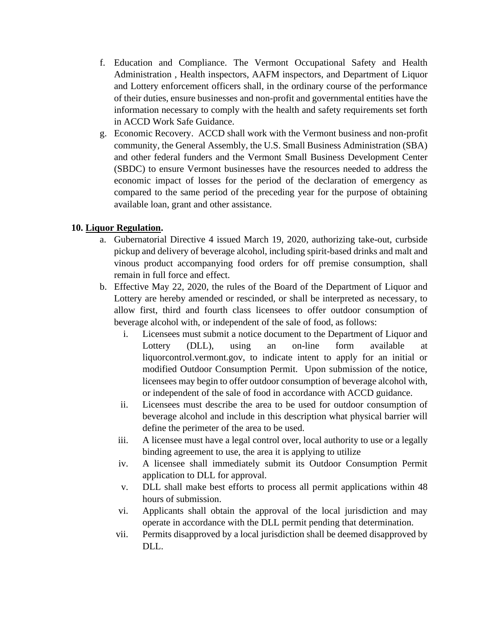- f. Education and Compliance. The Vermont Occupational Safety and Health Administration , Health inspectors, AAFM inspectors, and Department of Liquor and Lottery enforcement officers shall, in the ordinary course of the performance of their duties, ensure businesses and non-profit and governmental entities have the information necessary to comply with the health and safety requirements set forth in ACCD Work Safe Guidance.
- g. Economic Recovery. ACCD shall work with the Vermont business and non-profit community, the General Assembly, the U.S. Small Business Administration (SBA) and other federal funders and the Vermont Small Business Development Center (SBDC) to ensure Vermont businesses have the resources needed to address the economic impact of losses for the period of the declaration of emergency as compared to the same period of the preceding year for the purpose of obtaining available loan, grant and other assistance.

# **10. Liquor Regulation.**

- a. Gubernatorial Directive 4 issued March 19, 2020, authorizing take-out, curbside pickup and delivery of beverage alcohol, including spirit-based drinks and malt and vinous product accompanying food orders for off premise consumption, shall remain in full force and effect.
- b. Effective May 22, 2020, the rules of the Board of the Department of Liquor and Lottery are hereby amended or rescinded, or shall be interpreted as necessary, to allow first, third and fourth class licensees to offer outdoor consumption of beverage alcohol with, or independent of the sale of food, as follows:
	- i. Licensees must submit a notice document to the Department of Liquor and Lottery (DLL), using an on-line form available at liquorcontrol.vermont.gov, to indicate intent to apply for an initial or modified Outdoor Consumption Permit. Upon submission of the notice, licensees may begin to offer outdoor consumption of beverage alcohol with, or independent of the sale of food in accordance with ACCD guidance.
	- ii. Licensees must describe the area to be used for outdoor consumption of beverage alcohol and include in this description what physical barrier will define the perimeter of the area to be used.
	- iii. A licensee must have a legal control over, local authority to use or a legally binding agreement to use, the area it is applying to utilize
	- iv. A licensee shall immediately submit its Outdoor Consumption Permit application to DLL for approval.
	- v. DLL shall make best efforts to process all permit applications within 48 hours of submission.
	- vi. Applicants shall obtain the approval of the local jurisdiction and may operate in accordance with the DLL permit pending that determination.
	- vii. Permits disapproved by a local jurisdiction shall be deemed disapproved by  $DL<sub>1</sub>$ .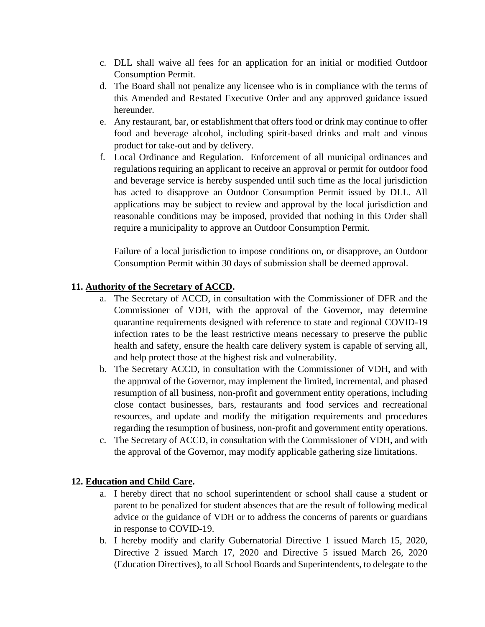- c. DLL shall waive all fees for an application for an initial or modified Outdoor Consumption Permit.
- d. The Board shall not penalize any licensee who is in compliance with the terms of this Amended and Restated Executive Order and any approved guidance issued hereunder.
- e. Any restaurant, bar, or establishment that offers food or drink may continue to offer food and beverage alcohol, including spirit-based drinks and malt and vinous product for take-out and by delivery.
- f. Local Ordinance and Regulation. Enforcement of all municipal ordinances and regulations requiring an applicant to receive an approval or permit for outdoor food and beverage service is hereby suspended until such time as the local jurisdiction has acted to disapprove an Outdoor Consumption Permit issued by DLL. All applications may be subject to review and approval by the local jurisdiction and reasonable conditions may be imposed, provided that nothing in this Order shall require a municipality to approve an Outdoor Consumption Permit.

Failure of a local jurisdiction to impose conditions on, or disapprove, an Outdoor Consumption Permit within 30 days of submission shall be deemed approval.

# **11. Authority of the Secretary of ACCD.**

- a. The Secretary of ACCD, in consultation with the Commissioner of DFR and the Commissioner of VDH, with the approval of the Governor, may determine quarantine requirements designed with reference to state and regional COVID-19 infection rates to be the least restrictive means necessary to preserve the public health and safety, ensure the health care delivery system is capable of serving all, and help protect those at the highest risk and vulnerability.
- b. The Secretary ACCD, in consultation with the Commissioner of VDH, and with the approval of the Governor, may implement the limited, incremental, and phased resumption of all business, non-profit and government entity operations, including close contact businesses, bars, restaurants and food services and recreational resources, and update and modify the mitigation requirements and procedures regarding the resumption of business, non-profit and government entity operations.
- c. The Secretary of ACCD, in consultation with the Commissioner of VDH, and with the approval of the Governor, may modify applicable gathering size limitations.

#### **12. Education and Child Care.**

- a. I hereby direct that no school superintendent or school shall cause a student or parent to be penalized for student absences that are the result of following medical advice or the guidance of VDH or to address the concerns of parents or guardians in response to COVID-19.
- b. I hereby modify and clarify Gubernatorial Directive 1 issued March 15, 2020, Directive 2 issued March 17, 2020 and Directive 5 issued March 26, 2020 (Education Directives), to all School Boards and Superintendents, to delegate to the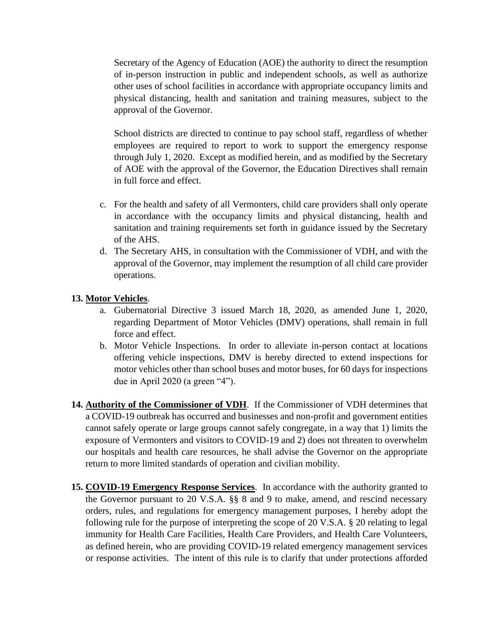Secretary of the Agency of Education (AOE) the authority to direct the resumption of in-person instruction in public and independent schools, as well as authorize other uses of school facilities in accordance with appropriate occupancy limits and physical distancing, health and sanitation and training measures, subject to the approval of the Governor.

School districts are directed to continue to pay school staff, regardless of whether employees are required to report to work to support the emergency response through July 1, 2020. Except as modified herein, and as modified by the Secretary of AOE with the approval of the Governor, the Education Directives shall remain in full force and effect.

- c. For the health and safety of all Vermonters, child care providers shall only operate in accordance with the occupancy limits and physical distancing, health and sanitation and training requirements set forth in guidance issued by the Secretary of the AHS.
- d. The Secretary AHS, in consultation with the Commissioner of VDH, and with the approval of the Governor, may implement the resumption of all child care provider operations.

# **13. Motor Vehicles**.

- a. Gubernatorial Directive 3 issued March 18, 2020, as amended June 1, 2020, regarding Department of Motor Vehicles (DMV) operations, shall remain in full force and effect.
- b. Motor Vehicle Inspections. In order to alleviate in-person contact at locations offering vehicle inspections, DMV is hereby directed to extend inspections for motor vehicles other than school buses and motor buses, for 60 days for inspections due in April 2020 (a green "4").
- **14. Authority of the Commissioner of VDH**. If the Commissioner of VDH determines that a COVID-19 outbreak has occurred and businesses and non-profit and government entities cannot safely operate or large groups cannot safely congregate, in a way that 1) limits the exposure of Vermonters and visitors to COVID-19 and 2) does not threaten to overwhelm our hospitals and health care resources, he shall advise the Governor on the appropriate return to more limited standards of operation and civilian mobility.
- **15. COVID-19 Emergency Response Services**. In accordance with the authority granted to the Governor pursuant to 20 V.S.A. §§ 8 and 9 to make, amend, and rescind necessary orders, rules, and regulations for emergency management purposes, I hereby adopt the following rule for the purpose of interpreting the scope of 20 V.S.A. § 20 relating to legal immunity for Health Care Facilities, Health Care Providers, and Health Care Volunteers, as defined herein, who are providing COVID-19 related emergency management services or response activities. The intent of this rule is to clarify that under protections afforded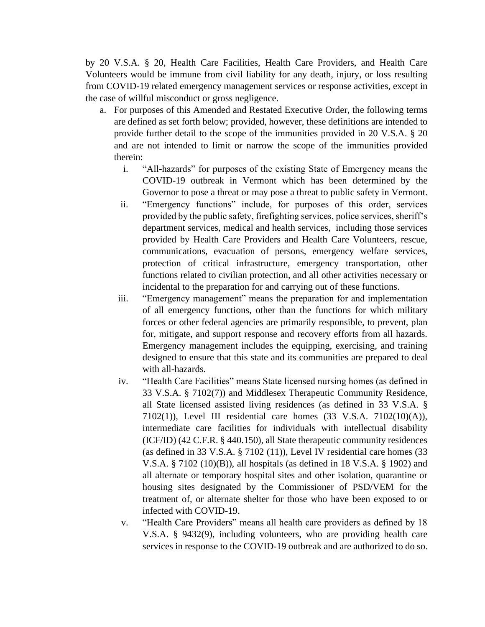by 20 V.S.A. § 20, Health Care Facilities, Health Care Providers, and Health Care Volunteers would be immune from civil liability for any death, injury, or loss resulting from COVID-19 related emergency management services or response activities, except in the case of willful misconduct or gross negligence.

- a. For purposes of this Amended and Restated Executive Order, the following terms are defined as set forth below; provided, however, these definitions are intended to provide further detail to the scope of the immunities provided in 20 V.S.A. § 20 and are not intended to limit or narrow the scope of the immunities provided therein:
	- i. "All-hazards" for purposes of the existing State of Emergency means the COVID-19 outbreak in Vermont which has been determined by the Governor to pose a threat or may pose a threat to public safety in Vermont.
	- ii. "Emergency functions" include, for purposes of this order, services provided by the public safety, firefighting services, police services, sheriff's department services, medical and health services, including those services provided by Health Care Providers and Health Care Volunteers, rescue, communications, evacuation of persons, emergency welfare services, protection of critical infrastructure, emergency transportation, other functions related to civilian protection, and all other activities necessary or incidental to the preparation for and carrying out of these functions.
	- iii. "Emergency management" means the preparation for and implementation of all emergency functions, other than the functions for which military forces or other federal agencies are primarily responsible, to prevent, plan for, mitigate, and support response and recovery efforts from all hazards. Emergency management includes the equipping, exercising, and training designed to ensure that this state and its communities are prepared to deal with all-hazards.
	- iv. "Health Care Facilities" means State licensed nursing homes (as defined in 33 V.S.A. § 7102(7)) and Middlesex Therapeutic Community Residence, all State licensed assisted living residences (as defined in 33 V.S.A. § 7102(1)), Level III residential care homes (33 V.S.A. 7102(10)(A)), intermediate care facilities for individuals with intellectual disability (ICF/ID) (42 C.F.R. § 440.150), all State therapeutic community residences (as defined in 33 V.S.A. § 7102 (11)), Level IV residential care homes (33 V.S.A. § 7102 (10)(B)), all hospitals (as defined in 18 V.S.A. § 1902) and all alternate or temporary hospital sites and other isolation, quarantine or housing sites designated by the Commissioner of PSD/VEM for the treatment of, or alternate shelter for those who have been exposed to or infected with COVID-19.
	- v. "Health Care Providers" means all health care providers as defined by 18 V.S.A. § 9432(9), including volunteers, who are providing health care services in response to the COVID-19 outbreak and are authorized to do so.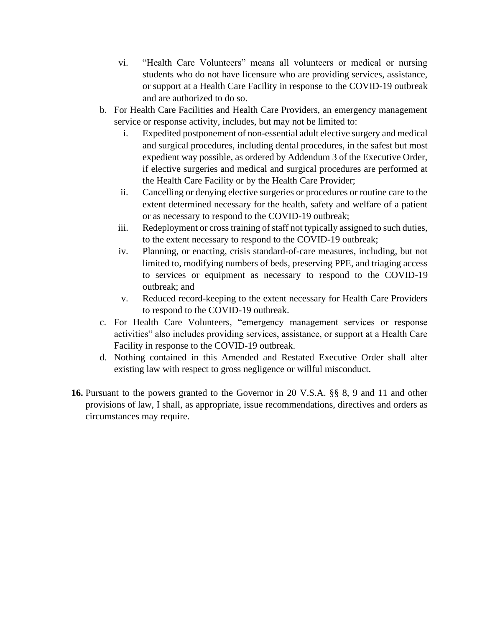- vi. "Health Care Volunteers" means all volunteers or medical or nursing students who do not have licensure who are providing services, assistance, or support at a Health Care Facility in response to the COVID-19 outbreak and are authorized to do so.
- b. For Health Care Facilities and Health Care Providers, an emergency management service or response activity, includes, but may not be limited to:
	- i. Expedited postponement of non-essential adult elective surgery and medical and surgical procedures, including dental procedures, in the safest but most expedient way possible, as ordered by Addendum 3 of the Executive Order, if elective surgeries and medical and surgical procedures are performed at the Health Care Facility or by the Health Care Provider;
	- ii. Cancelling or denying elective surgeries or procedures or routine care to the extent determined necessary for the health, safety and welfare of a patient or as necessary to respond to the COVID-19 outbreak;
	- iii. Redeployment or cross training of staff not typically assigned to such duties, to the extent necessary to respond to the COVID-19 outbreak;
	- iv. Planning, or enacting, crisis standard-of-care measures, including, but not limited to, modifying numbers of beds, preserving PPE, and triaging access to services or equipment as necessary to respond to the COVID-19 outbreak; and
	- v. Reduced record-keeping to the extent necessary for Health Care Providers to respond to the COVID-19 outbreak.
- c. For Health Care Volunteers, "emergency management services or response activities" also includes providing services, assistance, or support at a Health Care Facility in response to the COVID-19 outbreak.
- d. Nothing contained in this Amended and Restated Executive Order shall alter existing law with respect to gross negligence or willful misconduct.
- **16.** Pursuant to the powers granted to the Governor in 20 V.S.A. §§ 8, 9 and 11 and other provisions of law, I shall, as appropriate, issue recommendations, directives and orders as circumstances may require.